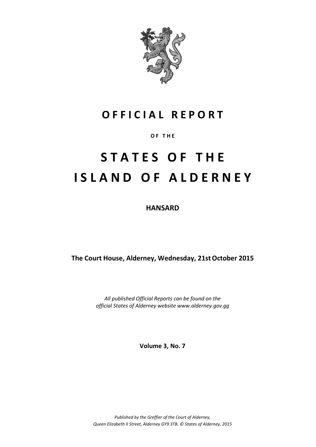

# **O F F I C I A L R E P O R T**

#### **O F T H E**

# **S T A T E S O F T H E I S L A N D O F A L D E R N E Y**

**HANSARD**

**The Court House, Alderney, Wednesday, 21stOctober 2015**

*All published Official Reports can be found on the official States of Alderney website www.alderney.gov.gg*

**Volume 3, No. 7**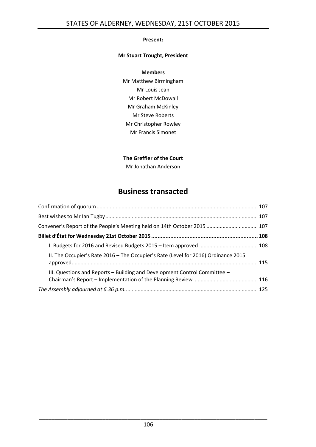#### **Present:**

#### **Mr Stuart Trought, President**

#### **Members**

Mr Matthew Birmingham Mr Louis Jean Mr Robert McDowall Mr Graham McKinley Mr Steve Roberts Mr Christopher Rowley Mr Francis Simonet

#### **The Greffier of the Court**

Mr Jonathan Anderson

## **Business transacted**

| Convener's Report of the People's Meeting held on 14th October 2015  107           |  |
|------------------------------------------------------------------------------------|--|
|                                                                                    |  |
|                                                                                    |  |
| II. The Occupier's Rate 2016 - The Occupier's Rate (Level for 2016) Ordinance 2015 |  |
| III. Questions and Reports - Building and Development Control Committee -          |  |
|                                                                                    |  |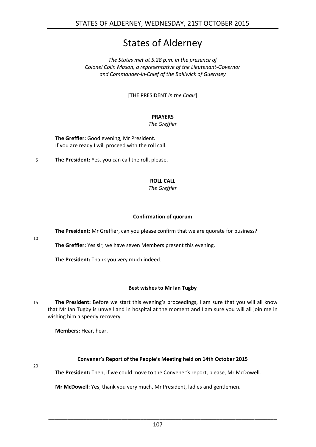# States of Alderney

*The States met at 5.28 p.m. in the presence of Colonel Colin Mason, a representative of the Lieutenant-Governor and Commander-in-Chief of the Bailiwick of Guernsey*

[THE PRESIDENT *in the Chair*]

### **PRAYERS**

#### *The Greffier*

**The Greffier:** Good evening, Mr President. If you are ready I will proceed with the roll call.

5 **The President:** Yes, you can call the roll, please.

#### **ROLL CALL**

*The Greffier*

#### **Confirmation of quorum**

<span id="page-2-0"></span>**The President:** Mr Greffier, can you please confirm that we are quorate for business?

10

**The Greffier:** Yes sir, we have seven Members present this evening.

**The President:** Thank you very much indeed.

#### **Best wishes to Mr Ian Tugby**

<span id="page-2-1"></span>15 **The President:** Before we start this evening's proceedings, I am sure that you will all know that Mr Ian Tugby is unwell and in hospital at the moment and I am sure you will all join me in wishing him a speedy recovery.

**Members:** Hear, hear.

#### **Convener's Report of the People's Meeting held on 14th October 2015**

<span id="page-2-2"></span>20

**The President:** Then, if we could move to the Convener's report, please, Mr McDowell.

**Mr McDowell:** Yes, thank you very much, Mr President, ladies and gentlemen.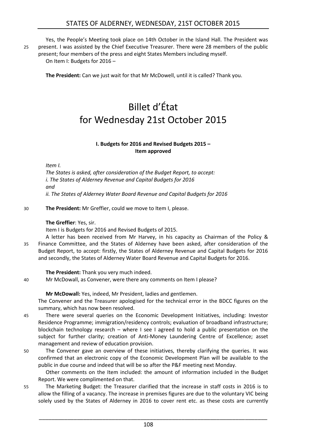Yes, the People's Meeting took place on 14th October in the Island Hall. The President was 25 present. I was assisted by the Chief Executive Treasurer. There were 28 members of the public

present; four members of the press and eight States Members including myself. On Item I: Budgets for 2016 –

<span id="page-3-0"></span>**The President:** Can we just wait for that Mr McDowell, until it is called? Thank you.

# Billet d'État for Wednesday 21st October 2015

#### **I. Budgets for 2016 and Revised Budgets 2015 – Item approved**

<span id="page-3-1"></span>*Item I.*

*The States is asked, after consideration of the Budget Report, to accept: i. The States of Alderney Revenue and Capital Budgets for 2016 and ii. The States of Alderney Water Board Revenue and Capital Budgets for 2016* 

30 **The President:** Mr Greffier, could we move to Item I, please.

#### **The Greffier**: Yes, sir.

Item I is Budgets for 2016 and Revised Budgets of 2015.

A letter has been received from Mr Harvey, in his capacity as Chairman of the Policy & 35 Finance Committee, and the States of Alderney have been asked, after consideration of the Budget Report, to accept: firstly, the States of Alderney Revenue and Capital Budgets for 2016 and secondly, the States of Alderney Water Board Revenue and Capital Budgets for 2016.

**The President:** Thank you very much indeed.

40 Mr McDowall, as Convener, were there any comments on Item I please?

**Mr McDowall:** Yes, indeed, Mr President, ladies and gentlemen.

The Convener and the Treasurer apologised for the technical error in the BDCC figures on the summary, which has now been resolved.

- 45 There were several queries on the Economic Development Initiatives, including: Investor Residence Programme; immigration/residency controls; evaluation of broadband infrastructure; blockchain technology research – where I see I agreed to hold a public presentation on the subject for further clarity; creation of Anti-Money Laundering Centre of Excellence; asset management and review of education provision.
- 50 The Convener gave an overview of these initiatives, thereby clarifying the queries. It was confirmed that an electronic copy of the Economic Development Plan will be available to the public in due course and indeed that will be so after the P&F meeting next Monday.

Other comments on the Item included: the amount of information included in the Budget Report. We were complimented on that.

55 The Marketing Budget: the Treasurer clarified that the increase in staff costs in 2016 is to allow the filling of a vacancy. The increase in premises figures are due to the voluntary VIC being solely used by the States of Alderney in 2016 to cover rent etc. as these costs are currently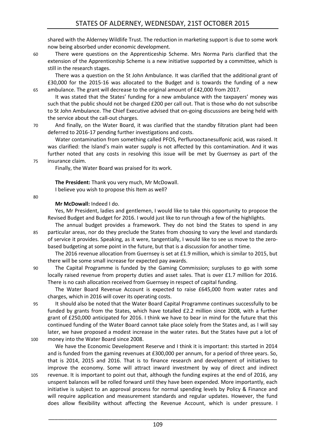shared with the Alderney Wildlife Trust. The reduction in marketing support is due to some work now being absorbed under economic development.

60 There were questions on the Apprenticeship Scheme. Mrs Norma Paris clarified that the extension of the Apprenticeship Scheme is a new initiative supported by a committee, which is still in the research stages.

There was a question on the St John Ambulance. It was clarified that the additional grant of £30,000 for the 2015-16 was allocated to the Budget and is towards the funding of a new 65 ambulance. The grant will decrease to the original amount of £42,000 from 2017.

It was stated that the States' funding for a new ambulance with the taxpayers' money was such that the public should not be charged £200 per call out. That is those who do not subscribe to St John Ambulance. The Chief Executive advised that on-going discussions are being held with the service about the call-out charges.

70 And finally, on the Water Board, it was clarified that the standby filtration plant had been deferred to 2016-17 pending further investigations and costs.

Water contamination from something called PFOS, Perflurooctanesulfonic acid, was raised. It was clarified: the Island's main water supply is not affected by this contamination. And it was further noted that any costs in resolving this issue will be met by Guernsey as part of the 75 insurance claim.

Finally, the Water Board was praised for its work.

**The President:** Thank you very much, Mr McDowall. I believe you wish to propose this Item as well?

80

#### **Mr McDowall:** Indeed I do.

Yes, Mr President, ladies and gentlemen, I would like to take this opportunity to propose the Revised Budget and Budget for 2016. I would just like to run through a few of the highlights.

The annual budget provides a framework. They do not bind the States to spend in any 85 particular areas, nor do they preclude the States from choosing to vary the level and standards of service it provides. Speaking, as it were, tangentially, I would like to see us move to the zerobased budgeting at some point in the future, but that is a discussion for another time.

The 2016 revenue allocation from Guernsey is set at £1.9 million, which is similar to 2015, but there will be some small increase for expected pay awards.

90 The Capital Programme is funded by the Gaming Commission; surpluses to go with some locally raised revenue from property duties and asset sales. That is over £1.7 million for 2016. There is no cash allocation received from Guernsey in respect of capital funding.

The Water Board Revenue Account is expected to raise £645,000 from water rates and charges, which in 2016 will cover its operating costs.

95 It should also be noted that the Water Board Capital Programme continues successfully to be funded by grants from the States, which have totalled £2.2 million since 2008, with a further grant of £250,000 anticipated for 2016. I think we have to bear in mind for the future that this continued funding of the Water Board cannot take place solely from the States and, as I will say later, we have proposed a modest increase in the water rates. But the States have put a lot of 100 money into the Water Board since 2008.

We have the Economic Development Reserve and I think it is important: this started in 2014 and is funded from the gaming revenues at £300,000 per annum, for a period of three years. So, that is 2014, 2015 and 2016. That is to finance research and development of initiatives to improve the economy. Some will attract inward investment by way of direct and indirect 105 revenue. It is important to point out that, although the funding expires at the end of 2016, any unspent balances will be rolled forward until they have been expended. More importantly, each initiative is subject to an approval process for normal spending levels by Policy & Finance and will require application and measurement standards and regular updates. However, the fund does allow flexibility without affecting the Revenue Account, which is under pressure. I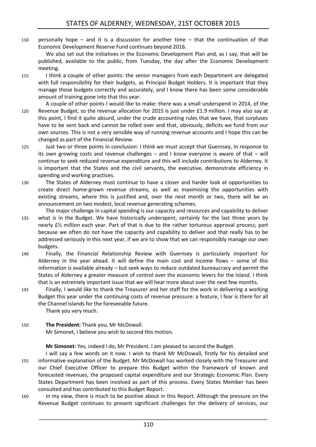110 personally hope – and it is a discussion for another time – that the continuation of that Economic Development Reserve Fund continues beyond 2016.

We also set out the initiatives in the Economic Development Plan and, as I say, that will be published, available to the public, from Tuesday, the day after the Economic Development meeting.

- 115 I think a couple of other points: the senior managers from each Department are delegated with full responsibility for their budgets, as Principal Budget Holders. It is important that they manage those budgets correctly and accurately, and I know there has been some considerable amount of training gone into that this year.
- A couple of other points I would like to make: there was a small underspend in 2014, of the 120 Revenue Budget, so the revenue allocation for 2015 is just under £1.9 million. I may also say at this point, I find it quite absurd, under the crude accounting rules that we have, that surpluses have to be sent back and cannot be rolled over and that, obviously, deficits we fund from our own sources. This is not a very sensible way of running revenue accounts and I hope this can be changed as part of the Financial Review.
- 125 Just two or three points in conclusion: I think we must accept that Guernsey, in response to its own growing costs and revenue challenges  $-$  and I know everyone is aware of that  $-$  will continue to seek reduced revenue expenditure and this will include contributions to Alderney. It is important that the States and the civil servants, the executive, demonstrate efficiency in spending and working practices.
- 130 The States of Alderney must continue to have a closer and harder look at opportunities to create direct home-grown revenue streams, as well as maximising the opportunities with existing streams, where this is justified and, over the next month or two, there will be an announcement on two modest, local revenue generating schemes.
- The major challenge in capital spending is our capacity and resources and capability to deliver 135 what is in the Budget. We have historically underspent, certainly for the last three years by nearly £½ million each year. Part of that is due to the rather torturous approval process; part because we often do not have the capacity and capability to deliver and that really has to be addressed seriously in this next year, if we are to show that we can responsibly manage our own budgets.
- 140 Finally, the Financial Relationship Review with Guernsey is particularly important for Alderney in the year ahead. It will define the main cost and income flows – some of this information is available already – but seek ways to reduce outdated bureaucracy and permit the States of Alderney a greater measure of control over the economic levers for the Island. I think that is an extremely important issue that we will hear more about over the next few months.
- 145 Finally, I would like to thank the Treasurer and her staff for the work in delivering a working Budget this year under the continuing costs of revenue pressure: a feature, I fear is there for all the Channel Islands for the foreseeable future. Thank you very much.
- 150 **The President:** Thank you, Mr McDowall. Mr Simonet, I believe you wish to second this motion.

**Mr Simonet:** Yes, indeed I do, Mr President. I am pleased to second the Budget.

- I will say a few words on it now. I wish to thank Mr McDowall, firstly for his detailed and 155 informative explanation of the Budget. Mr McDowall has worked closely with the Treasurer and our Chief Executive Officer to prepare this Budget within the framework of known and forecasted revenues, the proposed capital expenditure and our Strategic Economic Plan. Every States Department has been involved as part of this process. Every States Member has been consulted and has contributed to this Budget Report.
- 160 In my view, there is much to be positive about in this Report. Although the pressure on the Revenue Budget continues to present significant challenges for the delivery of services, our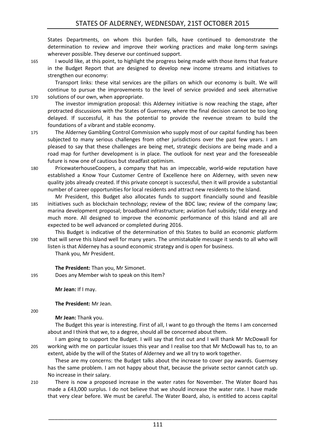States Departments, on whom this burden falls, have continued to demonstrate the determination to review and improve their working practices and make long-term savings wherever possible. They deserve our continued support.

165 I would like, at this point, to highlight the progress being made with those items that feature in the Budget Report that are designed to develop new income streams and initiatives to strengthen our economy:

Transport links: these vital services are the pillars on which our economy is built. We will continue to pursue the improvements to the level of service provided and seek alternative 170 solutions of our own, when appropriate.

The investor immigration proposal: this Alderney initiative is now reaching the stage, after protracted discussions with the States of Guernsey, where the final decision cannot be too long delayed. If successful, it has the potential to provide the revenue stream to build the foundations of a vibrant and stable economy.

- 175 The Alderney Gambling Control Commission who supply most of our capital funding has been subjected to many serious challenges from other jurisdictions over the past few years. I am pleased to say that these challenges are being met, strategic decisions are being made and a road map for further development is in place. The outlook for next year and the foreseeable future is now one of cautious but steadfast optimism.
- 180 PricewaterhouseCoopers, a company that has an impeccable, world-wide reputation have established a Know Your Customer Centre of Excellence here on Alderney, with seven new quality jobs already created. If this private concept is successful, then it will provide a substantial number of career opportunities for local residents and attract new residents to the Island.
- Mr President, this Budget also allocates funds to support financially sound and feasible 185 initiatives such as blockchain technology; review of the BDC law; review of the company law; marina development proposal; broadband infrastructure; aviation fuel subsidy; tidal energy and much more. All designed to improve the economic performance of this Island and all are expected to be well advanced or completed during 2016.

This Budget is indicative of the determination of this States to build an economic platform 190 that will serve this Island well for many years. The unmistakable message it sends to all who will listen is that Alderney has a sound economic strategy and is open for business.

Thank you, Mr President.

**The President:** Than you, Mr Simonet. 195 Does any Member wish to speak on this Item?

**Mr Jean:** If I may.

**The President:** Mr Jean.

200

**Mr Jean:** Thank you.

The Budget this year is interesting. First of all, I want to go through the Items I am concerned about and I think that we, to a degree, should all be concerned about them.

I am going to support the Budget. I will say that first out and I will thank Mr McDowall for 205 working with me on particular issues this year and I realise too that Mr McDowall has to, to an extent, abide by the will of the States of Alderney and we all try to work together.

These are my concerns: the Budget talks about the increase to cover pay awards. Guernsey has the same problem. I am not happy about that, because the private sector cannot catch up. No increase in their salary.

210 There is now a proposed increase in the water rates for November. The Water Board has made a £43,000 surplus. I do not believe that we should increase the water rate. I have made that very clear before. We must be careful. The Water Board, also, is entitled to access capital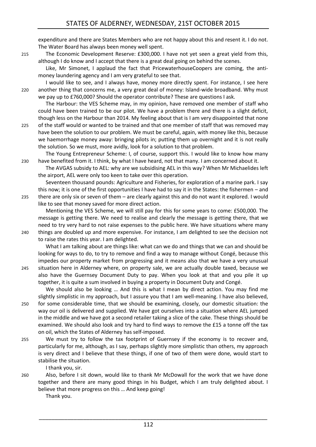expenditure and there are States Members who are not happy about this and resent it. I do not. The Water Board has always been money well spent.

215 The Economic Development Reserve: £300,000. I have not yet seen a great yield from this, although I do know and I accept that there is a great deal going on behind the scenes.

Like, Mr Simonet, I applaud the fact that PricewaterhouseCoopers are coming, the antimoney laundering agency and I am very grateful to see that.

I would like to see, and I always have, money more directly spent. For instance, I see here 220 another thing that concerns me, a very great deal of money: Island-wide broadband. Why must we pay up to £760,000? Should the operator contribute? These are questions I ask.

The Harbour: the VES Scheme may, in my opinion, have removed one member of staff who could have been trained to be our pilot. We have a problem there and there is a slight deficit, though less on the Harbour than 2014. My feeling about that is I am very disappointed that none

225 of the staff would or wanted to be trained and that one member of staff that was removed may have been the solution to our problem. We must be careful, again, with money like this, because we haemorrhage money away: bringing pilots in; putting them up overnight and it is not really the solution. So we must, more avidly, look for a solution to that problem.

The Young Entrepreneur Scheme: I, of course, support this. I would like to know how many 230 have benefited from it. I think, by what I have heard, not that many. I am concerned about it.

The AVGAS subsidy to AEL: why are we subsidising AEL in this way? When Mr Michaelides left the airport, AEL were only too keen to take over this operation.

Seventeen thousand pounds: Agriculture and Fisheries, for exploration of a marine park. I say this now; it is one of the first opportunities I have had to say it in the States: the fishermen – and

235 there are only six or seven of them – are clearly against this and do not want it explored. I would like to see that money saved for more direct action.

Mentioning the VES Scheme, we will still pay for this for some years to come: £500,000. The message is getting there. We need to realise and clearly the message is getting there, that we need to try very hard to not raise expenses to the public here. We have situations where many 240 things are doubled up and more expensive. For instance, I am delighted to see the decision not to raise the rates this year. I am delighted.

What I am talking about are things like: what can we do and things that we can and should be looking for ways to do, to try to remove and find a way to manage without Congé, because this impedes our property market from progressing and it means also that we have a very unusual

245 situation here in Alderney where, on property sale, we are actually double taxed, because we also have the Guernsey Document Duty to pay. When you look at that and you pile it up together, it is quite a sum involved in buying a property in Document Duty and Congé.

We should also be looking … And this is what I mean by direct action. You may find me slightly simplistic in my approach, but I assure you that I am well-meaning. I have also believed, 250 for some considerable time, that we should be examining, closely, our domestic situation: the way our oil is delivered and supplied. We have got ourselves into a situation where AEL jumped

- in the middle and we have got a second retailer taking a slice of the cake. These things should be examined. We should also look and try hard to find ways to remove the £15 a tonne off the tax on oil, which the States of Alderney has self-imposed.
- 255 We must try to follow the tax footprint of Guernsey if the economy is to recover and, particularly for me, although, as I say, perhaps slightly more simplistic than others, my approach is very direct and I believe that these things, if one of two of them were done, would start to stabilise the situation.

I thank you, sir.

260 Also, before I sit down, would like to thank Mr McDowall for the work that we have done together and there are many good things in his Budget, which I am truly delighted about. I believe that more progress on this … And keep going!

Thank you.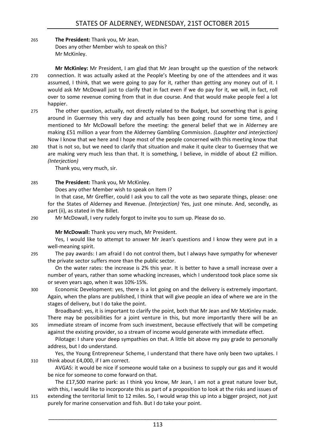265 **The President:** Thank you, Mr Jean. Does any other Member wish to speak on this? Mr McKinley.

**Mr McKinley:** Mr President, I am glad that Mr Jean brought up the question of the network 270 connection. It was actually asked at the People's Meeting by one of the attendees and it was assumed, I think, that we were going to pay for it, rather than getting any money out of it. I would ask Mr McDowall just to clarify that in fact even if we do pay for it, we will, in fact, roll over to some revenue coming from that in due course. And that would make people feel a lot happier.

275 The other question, actually, not directly related to the Budget, but something that is going around in Guernsey this very day and actually has been going round for some time, and I mentioned to Mr McDowall before the meeting: the general belief that we in Alderney are making £51 million a year from the Alderney Gambling Commission. *(Laughter and interjection)* Now I know that we here and I hope most of the people concerned with this meeting know that

280 that is not so, but we need to clarify that situation and make it quite clear to Guernsey that we are making very much less than that. It is something, I believe, in middle of about £2 million. *(Interjection)*

Thank you, very much, sir.

#### 285 **The President:** Thank you, Mr McKinley.

Does any other Member wish to speak on Item I?

In that case, Mr Greffier, could I ask you to call the vote as two separate things, please: one for the States of Alderney and Revenue. *(Interjection)* Yes, just one minute. And, secondly, as part (ii), as stated in the Billet.

290 Mr McDowall, I very rudely forgot to invite you to sum up. Please do so.

#### **Mr McDowall:** Thank you very much, Mr President.

Yes, I would like to attempt to answer Mr Jean's questions and I know they were put in a well-meaning spirit.

295 The pay awards: I am afraid I do not control them, but I always have sympathy for whenever the private sector suffers more than the public sector.

On the water rates: the increase is 2% this year. It is better to have a small increase over a number of years, rather than some whacking increases, which I understood took place some six or seven years ago, when it was 10%-15%.

300 Economic Development: yes, there is a lot going on and the delivery is extremely important. Again, when the plans are published, I think that will give people an idea of where we are in the stages of delivery, but I do take the point.

Broadband: yes, it is important to clarify the point, both that Mr Jean and Mr McKinley made. There may be possibilities for a joint venture in this, but more importantly there will be an 305 immediate stream of income from such investment, because effectively that will be competing against the existing provider, so a stream of income would generate with immediate effect.

Pilotage: I share your deep sympathies on that. A little bit above my pay grade to personally address, but I do understand.

Yes, the Young Entrepreneur Scheme, I understand that there have only been two uptakes. I 310 think about £4,000, if I am correct.

AVGAS: it would be nice if someone would take on a business to supply our gas and it would be nice for someone to come forward on that.

The £17,500 marine park: as I think you know, Mr Jean, I am not a great nature lover but, with this, I would like to incorporate this as part of a proposition to look at the risks and issues of 315 extending the territorial limit to 12 miles. So, I would wrap this up into a bigger project, not just purely for marine conservation and fish. But I do take your point.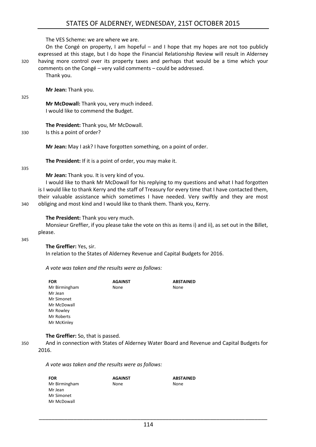The VES Scheme: we are where we are.

325

On the Congé on property, I am hopeful – and I hope that my hopes are not too publicly expressed at this stage, but I do hope the Financial Relationship Review will result in Alderney 320 having more control over its property taxes and perhaps that would be a time which your comments on the Congé – very valid comments – could be addressed.

Thank you.

**Mr Jean:** Thank you.

**Mr McDowall:** Thank you, very much indeed. I would like to commend the Budget.

**The President:** Thank you, Mr McDowall.

330 Is this a point of order?

**Mr Jean:** May I ask? I have forgotten something, on a point of order.

**The President:** If it is a point of order, you may make it.

335

**Mr Jean:** Thank you. It is very kind of you.

I would like to thank Mr McDowall for his replying to my questions and what I had forgotten is I would like to thank Kerry and the staff of Treasury for every time that I have contacted them, their valuable assistance which sometimes I have needed. Very swiftly and they are most 340 obliging and most kind and I would like to thank them. Thank you, Kerry.

**The President:** Thank you very much.

Monsieur Greffier, if you please take the vote on this as items i) and ii), as set out in the Billet, please.

345

**The Greffier:** Yes, sir.

In relation to the States of Alderney Revenue and Capital Budgets for 2016.

*A vote was taken and the results were as follows:*

| <b>FOR</b>    | <b>AGAINST</b> | <b>ABSTAINED</b> |
|---------------|----------------|------------------|
| Mr Birmingham | None           | None             |
| Mr Jean       |                |                  |
| Mr Simonet    |                |                  |
| Mr McDowall   |                |                  |
| Mr Rowley     |                |                  |
| Mr Roberts    |                |                  |
| Mr McKinley   |                |                  |

**The Greffier:** So, that is passed.

350 And in connection with States of Alderney Water Board and Revenue and Capital Budgets for 2016.

*A vote was taken and the results were as follows:*

| <b>FOR</b>    | <b>AGAINST</b> | <b>ABSTAINED</b> |
|---------------|----------------|------------------|
| Mr Birmingham | None           | None             |
| Mr Jean       |                |                  |
| Mr Simonet    |                |                  |
| Mr McDowall   |                |                  |
|               |                |                  |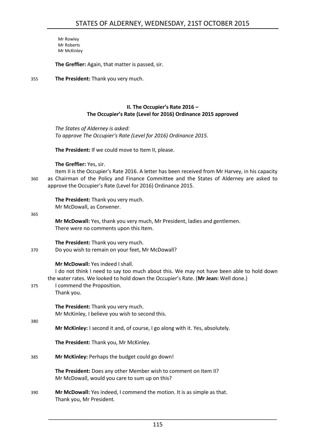Mr Rowley Mr Roberts Mr McKinley

**The Greffier:** Again, that matter is passed, sir.

355 **The President:** Thank you very much.

#### **II. The Occupier's Rate 2016 – The Occupier's Rate (Level for 2016) Ordinance 2015 approved**

<span id="page-10-0"></span>*The States of Alderney is asked: To approve The Occupier's Rate (Level for 2016) Ordinance 2015.*

**The President:** If we could move to Item II, please.

**The Greffier:** Yes, sir.

Item II is the Occupier's Rate 2016. A letter has been received from Mr Harvey, in his capacity 360 as Chairman of the Policy and Finance Committee and the States of Alderney are asked to approve the Occupier's Rate (Level for 2016) Ordinance 2015.

**The President:** Thank you very much. Mr McDowall, as Convener.

365

**Mr McDowall:** Yes, thank you very much, Mr President, ladies and gentlemen. There were no comments upon this Item.

**The President:** Thank you very much.

370 Do you wish to remain on your feet, Mr McDowall?

**Mr McDowall:** Yes indeed I shall.

I do not think I need to say too much about this. We may not have been able to hold down the water rates. We looked to hold down the Occupier's Rate. (**Mr Jean:** Well done.)

- 375 I commend the Proposition.
	- Thank you.

**The President:** Thank you very much. Mr McKinley, I believe you wish to second this.

380

**Mr McKinley:** I second it and, of course, I go along with it. Yes, absolutely.

**The President:** Thank you, Mr McKinley.

385 **Mr McKinley:** Perhaps the budget could go down!

**The President:** Does any other Member wish to comment on Item II? Mr McDowall, would you care to sum up on this?

390 **Mr McDowall:** Yes indeed, I commend the motion. It is as simple as that. Thank you, Mr President.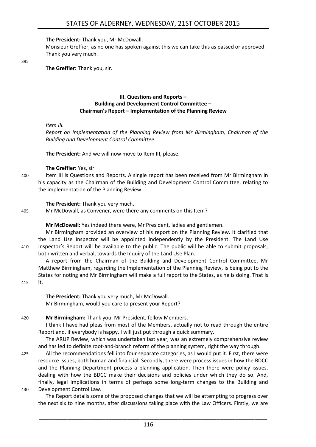#### **The President:** Thank you, Mr McDowall.

Monsieur Greffier, as no one has spoken against this we can take this as passed or approved. Thank you very much.

395

<span id="page-11-0"></span>**The Greffier:** Thank you, sir.

#### **III. Questions and Reports – Building and Development Control Committee – Chairman's Report – Implementation of the Planning Review**

#### *Item III.*

*Report on Implementation of the Planning Review from Mr Birmingham, Chairman of the Building and Development Control Committee.*

**The President:** And we will now move to Item III, please.

**The Greffier:** Yes, sir.

400 Item III is Questions and Reports. A single report has been received from Mr Birmingham in his capacity as the Chairman of the Building and Development Control Committee, relating to the implementation of the Planning Review.

**The President:** Thank you very much.

405 Mr McDowall, as Convener, were there any comments on this Item?

**Mr McDowall:** Yes indeed there were, Mr President, ladies and gentlemen.

Mr Birmingham provided an overview of his report on the Planning Review. It clarified that the Land Use Inspector will be appointed independently by the President. The Land Use 410 Inspector's Report will be available to the public. The public will be able to submit proposals, both written and verbal, towards the Inquiry of the Land Use Plan.

A report from the Chairman of the Building and Development Control Committee, Mr Matthew Birmingham, regarding the Implementation of the Planning Review, is being put to the States for noting and Mr Birmingham will make a full report to the States, as he is doing. That is

415 it.

**The President:** Thank you very much, Mr McDowall. Mr Birmingham, would you care to present your Report?

420 **Mr Birmingham:** Thank you, Mr President, fellow Members.

I think I have had pleas from most of the Members, actually not to read through the entire Report and, if everybody is happy, I will just put through a quick summary.

The ARUP Review, which was undertaken last year, was an extremely comprehensive review and has led to definite root-and-branch reform of the planning system, right the way through.

425 All the recommendations fell into four separate categories, as I would put it. First, there were resource issues, both human and financial. Secondly, there were process issues in how the BDCC and the Planning Department process a planning application. Then there were policy issues, dealing with how the BDCC make their decisions and policies under which they do so. And, finally, legal implications in terms of perhaps some long-term changes to the Building and 430 Development Control Law.

The Report details some of the proposed changes that we will be attempting to progress over the next six to nine months, after discussions taking place with the Law Officers. Firstly, we are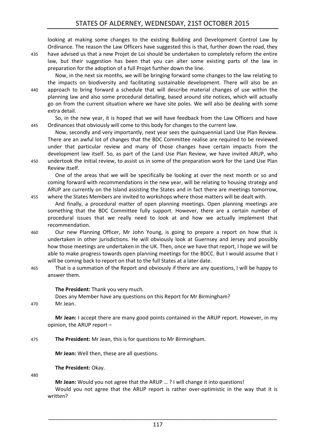looking at making some changes to the existing Building and Development Control Law by Ordinance. The reason the Law Officers have suggested this is that, further down the road, they

435 have advised us that a new Projet de Loi should be undertaken to completely reform the entire law, but their suggestion has been that you can alter some existing parts of the law in preparation for the adoption of a full Projet further down the line.

Now, in the next six months, we will be bringing forward some changes to the law relating to the impacts on biodiversity and facilitating sustainable development. There will also be an 440 approach to bring forward a schedule that will describe material changes of use within the planning law and also some procedural detailing, based around site notices, which will actually go on from the current situation where we have site poles. We will also be dealing with some extra detail.

So, in the new year, it is hoped that we will have feedback from the Law Officers and have 445 Ordinances that obviously will come to this body for changes to the current law.

Now, secondly and very importantly, next year sees the quinquennial Land Use Plan Review. There are an awful lot of changes that the BDC Committee realise are required to be reviewed under that particular review and many of those changes have certain impacts from the development law itself. So, as part of the Land Use Plan Review, we have invited ARUP, who 450 undertook the initial review, to assist us in some of the preparation work for the Land Use Plan Review itself.

One of the areas that we will be specifically be looking at over the next month or so and coming forward with recommendations in the new year, will be relating to housing strategy and ARUP are currently on the Island assisting the States and in fact there are meetings tomorrow, 455 where the States Members are invited to workshops where those matters will be dealt with.

And finally, a procedural matter of open planning meetings. Open planning meetings are something that the BDC Committee fully support. However, there are a certain number of procedural issues that we really need to look at and how we actually implement that recommendation.

- 460 Our new Planning Officer, Mr John Young, is going to prepare a report on how that is undertaken in other jurisdictions. He will obviously look at Guernsey and Jersey and possibly how those meetings are undertaken in the UK. Then, once we have that report, I hope we will be able to make progress towards open planning meetings for the BDCC. But I would assume that I will be coming back to report on that to the full States at a later date.
- 465 That is a summation of the Report and obviously if there are any questions, I will be happy to answer them.

#### **The President:** Thank you very much.

Does any Member have any questions on this Report for Mr Birmingham?

470 Mr Jean.

**Mr Jean:** I accept there are many good points contained in the ARUP report. However, in my opinion, the ARUP report –

#### 475 **The President:** Mr Jean, this is for questions to Mr Birmingham.

**Mr Jean:** Well then, these are all questions.

**The President:** Okay.

480

**Mr Jean:** Would you not agree that the ARUP … ? I will change it into questions! Would you not agree that the ARUP report is rather over-optimistic in the way that it is written?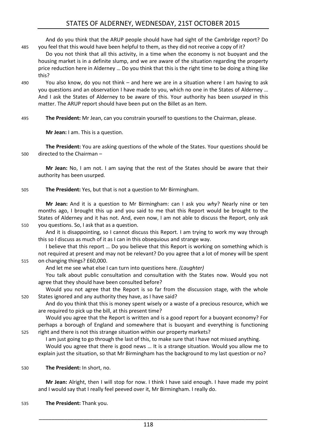And do you think that the ARUP people should have had sight of the Cambridge report? Do 485 you feel that this would have been helpful to them, as they did not receive a copy of it?

Do you not think that all this activity, in a time when the economy is not buoyant and the housing market is in a definite slump, and we are aware of the situation regarding the property price reduction here in Alderney … Do you think that this is the right time to be doing a thing like this?

490 You also know, do you not think – and here we are in a situation where I am having to ask you questions and an observation I have made to you, which no one in the States of Alderney … And I ask the States of Alderney to be aware of this. Your authority has been *usurped* in this matter. The ARUP report should have been put on the Billet as an Item.

495 **The President:** Mr Jean, can you constrain yourself to questions to the Chairman, please.

**Mr Jean:** I am. This is a question.

**The President:** You are asking questions of the whole of the States. Your questions should be 500 directed to the Chairman –

**Mr Jean:** No, I am not. I am saying that the rest of the States should be aware that their authority has been usurped.

505 **The President:** Yes, but that is not a question to Mr Birmingham.

**Mr Jean:** And it is a question to Mr Birmingham: can I ask you *why*? Nearly nine or ten months ago, I brought this up and you said to me that this Report would be brought to the States of Alderney and it has not. And, even now, I am not able to discuss the Report, only ask 510 you questions. So, I ask that as a question.

And it is disappointing, so I cannot discuss this Report. I am trying to work my way through this so I discuss as much of it as I can in this obsequious and strange way.

I believe that this report … Do you believe that this Report is working on something which is not required at present and may not be relevant? Do you agree that a lot of money will be spent 515 on changing things? £60,000.

And let me see what else I can turn into questions here. *(Laughter)*

You talk about public consultation and consultation with the States now. Would you not agree that they should have been consulted before?

Would you not agree that the Report is so far from the discussion stage, with the whole 520 States ignored and any authority they have, as I have said?

And do you think that this is money spent wisely or a waste of a precious resource, which we are required to pick up the bill, at this present time?

Would you agree that the Report is written and is a good report for a buoyant economy? For perhaps a borough of England and somewhere that is buoyant and everything is functioning 525 right and there is not this strange situation within our property markets?

I am just going to go through the last of this, to make sure that I have not missed anything.

Would you agree that there is good news … It is a strange situation. Would you allow me to explain just the situation, so that Mr Birmingham has the background to my last question or no?

530 **The President:** In short, no.

**Mr Jean:** Alright, then I will stop for now. I think I have said enough. I have made my point and I would say that I really feel peeved over it, Mr Birmingham. I really do.

535 **The President:** Thank you.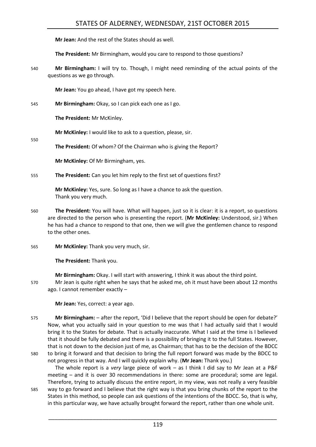**Mr Jean:** And the rest of the States should as well.

**The President:** Mr Birmingham, would you care to respond to those questions?

540 **Mr Birmingham:** I will try to. Though, I might need reminding of the actual points of the questions as we go through.

**Mr Jean:** You go ahead, I have got my speech here.

545 **Mr Birmingham:** Okay, so I can pick each one as I go.

**The President:** Mr McKinley.

**Mr McKinley:** I would like to ask to a question, please, sir.

550

**The President:** Of whom? Of the Chairman who is giving the Report?

**Mr McKinley:** Of Mr Birmingham, yes.

555 **The President:** Can you let him reply to the first set of questions first?

**Mr McKinley:** Yes, sure. So long as I have a chance to ask the question. Thank you very much.

- 560 **The President:** You will have. What will happen, just so it is clear: it is a report, so questions are directed to the person who is presenting the report. (**Mr McKinley:** Understood, sir.) When he has had a chance to respond to that one, then we will give the gentlemen chance to respond to the other ones.
- 565 **Mr McKinley:** Thank you very much, sir.

**The President:** Thank you.

**Mr Birmingham:** Okay. I will start with answering, I think it was about the third point.

570 Mr Jean is quite right when he says that he asked me, oh it must have been about 12 months ago. I cannot remember exactly –

**Mr Jean:** Yes, correct: a year ago.

575 **Mr Birmingham:** – after the report, 'Did I believe that the report should be open for debate?' Now, what you actually said in your question to me was that I had actually said that I would bring it to the States for debate. That is actually inaccurate. What I said at the time is I believed that it should be fully debated and there is a possibility of bringing it to the full States. However, that is not down to the decision just of me, as Chairman; that has to be the decision of the BDCC 580 to bring it forward and that decision to bring the full report forward was made by the BDCC to not progress in that way. And I will quickly explain why. (**Mr Jean:** Thank you.)

The whole report is a *very* large piece of work – as I think I did say to Mr Jean at a P&F meeting – and it is over 30 recommendations in there: some are procedural; some are legal. Therefore, trying to actually discuss the entire report, in my view, was not really a very feasible 585 way to go forward and I believe that the right way is that you bring chunks of the report to the

States in this method, so people can ask questions of the intentions of the BDCC. So, that is why, in this particular way, we have actually brought forward the report, rather than one whole unit.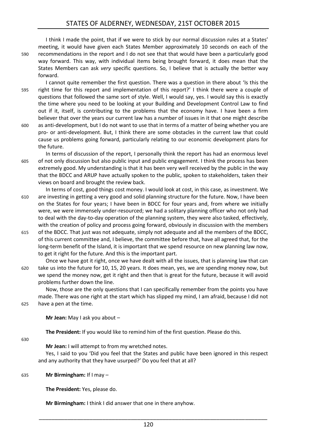I think I made the point, that if we were to stick by our normal discussion rules at a States' meeting, it would have given each States Member approximately 10 seconds on each of the 590 recommendations in the report and I do not see that that would have been a particularly good way forward. This way, with individual items being brought forward, it does mean that the States Members can ask *very* specific questions. So, I believe that is actually the better way forward.

- I cannot quite remember the first question. There was a question in there about 'Is this the 595 right time for this report and implementation of this report?' I think there were a couple of questions that followed the same sort of style. Well, I would say, yes. I would say this is exactly the time where you need to be looking at your Building and Development Control Law to find out if it, itself, is contributing to the problems that the economy have. I have been a firm believer that over the years our current law has a number of issues in it that one might describe 600 as anti-development, but I do not want to use that in terms of a matter of being whether you are pro- or anti-development. But, I think there are some obstacles in the current law that could
- cause us problems going forward, particularly relating to our economic development plans for the future. In terms of discussion of the report, I personally think the report has had an enormous level
- 605 of not only discussion but also public input and public engagement. I think the process has been extremely good. My understanding is that it has been very well received by the public in the way that the BDCC and ARUP have actually spoken to the public, spoken to stakeholders, taken their views on board and brought the review back.
- In terms of cost, good things cost money. I would look at cost, in this case, as investment. We 610 are investing in getting a very good and solid planning structure for the future. Now, I have been on the States for four years; I have been in BDCC for four years and, from where we initially were, we were immensely under-resourced; we had a solitary planning officer who not only had to deal with the day-to-day operation of the planning system, they were also tasked, effectively, with the creation of policy and process going forward, obviously in discussion with the members
- 615 of the BDCC. That just was not adequate, simply not adequate and all the members of the BDCC, of this current committee and, I believe, the committee before that, have all agreed that, for the long-term benefit of the Island, it is important that we spend resource on new planning law now, to get it right for the future. And this is the important part.
- Once we have got it right, once we have dealt with all the issues, that is planning law that can 620 take us into the future for 10, 15, 20 years. It does mean, yes, we are spending money now, but we spend the money now, get it right and then that is great for the future, because it will avoid problems further down the line.

Now, those are the only questions that I can specifically remember from the points you have made. There was one right at the start which has slipped my mind, I am afraid, because I did not 625 have a pen at the time.

**Mr Jean:** May I ask you about –

**The President:** If you would like to remind him of the first question. Please do this.

630

**Mr Jean:** I will attempt to from my wretched notes.

Yes, I said to you 'Did you feel that the States and public have been ignored in this respect and any authority that they have usurped?' Do you feel that at all?

#### 635 **Mr Birmingham:** If I may –

**The President:** Yes, please do.

**Mr Birmingham:** I think I did answer that one in there anyhow.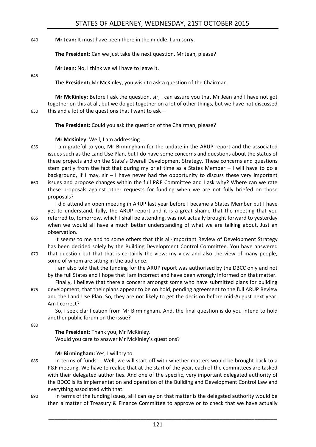#### 640 **Mr Jean:** It must have been there in the middle. I am sorry.

**The President:** Can we just take the next question, Mr Jean, please?

**Mr Jean:** No, I think we will have to leave it.

645

**The President:** Mr McKinley, you wish to ask a question of the Chairman.

**Mr McKinley:** Before I ask the question, sir, I can assure you that Mr Jean and I have not got together on this at all, but we do get together on a lot of other things, but we have not discussed 650 this and a lot of the questions that I want to ask –

**The President:** Could you ask the question of the Chairman, please?

#### **Mr McKinley:** Well, I am addressing …

655 I am grateful to you, Mr Birmingham for the update in the ARUP report and the associated issues such as the Land Use Plan, but I do have some concerns and questions about the status of these projects and on the State's Overall Development Strategy. These concerns and questions stem partly from the fact that during my brief time as a States Member – I will have to do a background, if I may, sir – I have never had the opportunity to discuss these very important 660 issues and propose changes within the full P&F Committee and I ask why? Where can we rate these proposals against other requests for funding when we are not fully briefed on those proposals?

I did attend an open meeting in ARUP last year before I became a States Member but I have yet to understand, fully, the ARUP report and it is a great shame that the meeting that you 665 referred to, tomorrow, which I shall be attending, was not actually brought forward to yesterday when we would all have a much better understanding of what we are talking about. Just an observation.

It seems to me and to some others that this all-important Review of Development Strategy has been decided solely by the Building Development Control Committee. You have answered 670 that question but that that is certainly the view: my view and also the view of many people, some of whom are sitting in the audience.

I am also told that the funding for the ARUP report was authorised by the DBCC only and not by the full States and I hope that I am incorrect and have been wrongly informed on that matter.

Finally, I believe that there a concern amongst some who have submitted plans for building 675 development, that their plans appear to be on hold, pending agreement to the full ARUP Review and the Land Use Plan. So, they are not likely to get the decision before mid-August next year. Am I correct?

So, I seek clarification from Mr Birmingham. And, the final question is do you intend to hold another public forum on the issue?

680

**The President:** Thank you, Mr McKinley. Would you care to answer Mr McKinley's questions?

**Mr Birmingham:** Yes, I will try to.

- 685 In terms of funds … Well, we will start off with whether matters would be brought back to a P&F meeting. We have to realise that at the start of the year, each of the committees are tasked with their delegated authorities. And one of the specific, very important delegated authority of the BDCC is its implementation and operation of the Building and Development Control Law and everything associated with that.
- 690 In terms of the funding issues, all I can say on that matter is the delegated authority would be then a matter of Treasury & Finance Committee to approve or to check that we have actually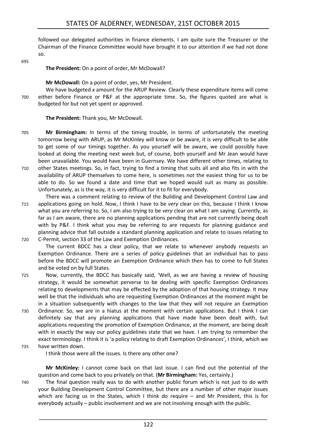followed our delegated authorities in finance elements. I am quite sure the Treasurer or the Chairman of the Finance Committee would have brought it to our attention if we had not done so.

695

#### **The President:** On a point of order, Mr McDowall?

#### **Mr McDowall:** On a point of order, yes, Mr President.

We have budgeted *x* amount for the ARUP Review. Clearly these expenditure items will come 700 either before Finance or P&F at the appropriate time. So, the figures quoted are what is budgeted for but not yet spent or approved.

#### **The President:** Thank you, Mr McDowall.

- 705 **Mr Birmingham:** In terms of the timing trouble, in terms of unfortunately the meeting tomorrow being with ARUP, as Mr McKinley will know or be aware, it is *very* difficult to be able to get some of our timings together. As you yourself will be aware, we could possibly have looked at doing the meeting next week but, of course, both yourself and Mr Jean would have been unavailable. You would have been in Guernsey. We have different other times, relating to
- 710 other States meetings. So, in fact, trying to find a timing that suits all and also fits in with the availability of ARUP themselves to come here, is sometimes not the easiest thing for us to be able to do. So we found a date and time that we hoped would suit as many as possible. Unfortunately, as is the way, it is very difficult for it to fit for everybody.
- There was a comment relating to review of the Building and Development Control Law and 715 applications going on hold. Now, I think I have to be *very* clear on this, because I think I know what you are referring to. So, I am also trying to be *very* clear on what I am saying. Currently, as far as I am aware, there are no planning applications pending that are not currently being dealt with by P&F. I think what you may be referring to are requests for planning guidance and planning advice that fall outside a standard planning application and relate to issues relating to 720 C-Permit, section 33 of the Law and Exemption Ordinances.

The current BDCC has a clear policy, that we relate to whenever anybody requests an Exemption Ordinance. There are a series of policy guidelines that an individual has to pass before the BDCC will promote an Exemption Ordinance which then has to come to full States and be voted on by full States.

- 725 Now, currently, the BDCC has basically said, 'Well, as we are having a review of housing strategy, it would be somewhat perverse to be dealing with specific Exemption Ordinances relating to developments that may be effected by the adoption of that housing strategy. It may well be that the individuals who are requesting Exemption Ordinances at the moment might be in a situation subsequently with changes to the law that they will not require an Exemption
- 730 Ordinance. So, we are in a hiatus at the moment with certain applications. But I think I can definitely say that any planning applications that have made have been dealt with, but applications requesting the promotion of Exemption Ordinance, at the moment, are being dealt with in exactly the way our policy guidelines state that we have. I am trying to remember the exact terminology. I think it is 'a policy relating to draft Exemption Ordinances', I think, which we 735 have written down.

I think those were all the issues. Is there any other one?

**Mr McKinley:** I cannot come back on that last issue. I can find out the potential of the question and come back to you privately on that. (**Mr Birmingham:** Yes, certainly.)

740 The final question really was to do with another public forum which is not just to do with your Building Development Control Committee, but there are a number of other major issues which are facing us in the States, which I think do require – and Mr President, this is for everybody actually – public involvement and we are not involving enough with the public.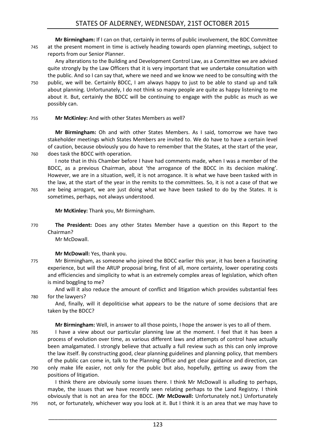**Mr Birmingham:** If I can on that, certainly in terms of public involvement, the BDC Committee 745 at the present moment in time is actively heading towards open planning meetings, subject to reports from our Senior Planner.

Any alterations to the Building and Development Control Law, as a Committee we are advised quite strongly by the Law Officers that it is very important that we undertake consultation with the public. And so I can say that, where we need and we know we need to be consulting with the 750 public, we will be. Certainly BDCC, I am always happy to just to be able to stand up and talk about planning. Unfortunately, I do not think so many people are quite as happy listening to me about it. But, certainly the BDCC will be continuing to engage with the public as much as we possibly can.

#### 755 **Mr McKinley:** And with other States Members as well?

**Mr Birmingham:** Oh and with other States Members. As I said, tomorrow we have two stakeholder meetings which States Members are invited to. We do have to have a certain level of caution, because obviously you do have to remember that the States, at the start of the year, 760 does task the BDCC with operation.

I note that in this Chamber before I have had comments made, when I was a member of the BDCC, as a previous Chairman, about 'the arrogance of the BDCC in its decision making'. However, we are in a situation, well, it is not arrogance. It is what we have been tasked with in the law, at the start of the year in the remits to the committees. So, it is not a case of that we 765 are being arrogant, we are just doing what we have been tasked to do by the States. It is sometimes, perhaps, not always understood.

**Mr McKinley:** Thank you, Mr Birmingham.

770 **The President:** Does any other States Member have a question on this Report to the Chairman?

Mr McDowall.

**Mr McDowall:** Yes, thank you.

775 Mr Birmingham, as someone who joined the BDCC earlier this year, it has been a fascinating experience, but will the ARUP proposal bring, first of all, more certainty, lower operating costs and efficiencies and simplicity to what is an extremely complex areas of legislation, which often is mind boggling to me?

And will it also reduce the amount of conflict and litigation which provides substantial fees 780 for the lawyers?

And, finally, will it depoliticise what appears to be the nature of some decisions that are taken by the BDCC?

**Mr Birmingham:** Well, in answer to all those points, I hope the answer is yes to all of them.

- 785 I have a view about our particular planning law at the moment. I feel that it has been a process of evolution over time, as various different laws and attempts of control have actually been amalgamated. I strongly believe that actually a full review such as this can only improve the law itself. By constructing good, clear planning guidelines and planning policy, that members of the public can come in, talk to the Planning Office and get clear guidance and direction, can 790 only make life easier, not only for the public but also, hopefully, getting us away from the
	- positions of litigation.

I think there are obviously some issues there. I think Mr McDowall is alluding to perhaps, maybe, the issues that we have recently seen relating perhaps to the Land Registry. I think obviously that is not an area for the BDCC. (**Mr McDowall:** Unfortunately not.) Unfortunately 795 not, or fortunately, whichever way you look at it. But I think it is an area that we may have to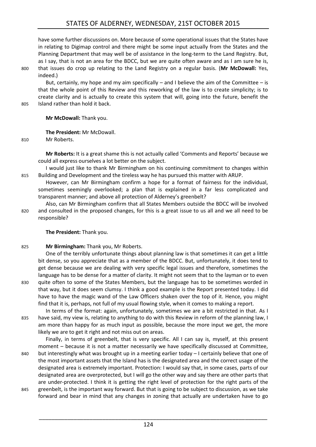have some further discussions on. More because of some operational issues that the States have in relating to Digimap control and there might be some input actually from the States and the Planning Department that may well be of assistance in the long-term to the Land Registry. But, as I say, that is not an area for the BDCC, but we are quite often aware and as I am sure he is, 800 that issues do crop up relating to the Land Registry on a regular basis. (**Mr McDowall:** Yes, indeed.)

But, certainly, my hope and my aim specifically  $-$  and I believe the aim of the Committee  $-$  is that the whole point of this Review and this reworking of the law is to create simplicity; is to create clarity and is actually to create this system that will, going into the future, benefit the 805 Island rather than hold it back.

**Mr McDowall:** Thank you.

**The President:** Mr McDowall.

810 Mr Roberts.

**Mr Roberts:** It is a great shame this is not actually called 'Comments and Reports' because we could all express ourselves a lot better on the subject.

I would just like to thank Mr Birmingham on his continuing commitment to changes within 815 Building and Development and the tireless way he has pursued this matter with ARUP.

However, can Mr Birmingham confirm a hope for a format of fairness for the individual, sometimes seemingly overlooked; a plan that is explained in a far less complicated and transparent manner; and above all protection of Alderney's greenbelt?

Also, can Mr Birmingham confirm that all States Members outside the BDCC will be involved 820 and consulted in the proposed changes, for this is a great issue to us all and we all need to be responsible?

**The President:** Thank you.

#### 825 **Mr Birmingham:** Thank you, Mr Roberts.

One of the terribly unfortunate things about planning law is that sometimes it can get a little bit dense, so you appreciate that as a member of the BDCC. But, unfortunately, it does tend to get dense because we are dealing with very specific legal issues and therefore, sometimes the language has to be dense for a matter of clarity. It might not seem that to the layman or to even 830 quite often to some of the States Members, but the language has to be sometimes worded in

that way, but it does seem clumsy. I think a good example is the Report presented today. I did have to have the magic wand of the Law Officers shaken over the top of it. Hence, you might find that it is, perhaps, not full of my usual flowing style, when it comes to making a report. In terms of the format: again, unfortunately, sometimes we are a bit restricted in that. As I

835 have said, my view is, relating to anything to do with this Review in reform of the planning law, I am more than happy for as much input as possible, because the more input we get, the more likely we are to get it right and not miss out on areas.

Finally, in terms of greenbelt, that is very specific. All I can say is, myself, at this present moment – because it is not a matter necessarily we have specifically discussed at Committee, 840 but interestingly what was brought up in a meeting earlier today – I certainly believe that one of the most important assets that the Island has is the designated area and the correct usage of the designated area is extremely important. Protection: I would say that, in some cases, parts of our

designated area are overprotected, but I will go the other way and say there are other parts that are under-protected. I think it is getting the right level of protection for the right parts of the 845 greenbelt, is the important way forward. But that is going to be subject to discussion, as we take forward and bear in mind that any changes in zoning that actually are undertaken have to go